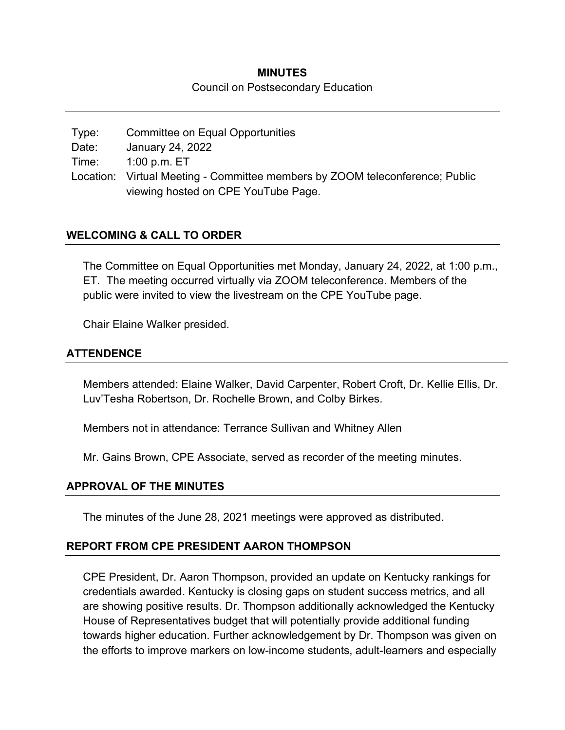# **MINUTES**

#### Council on Postsecondary Education

Type: Committee on Equal Opportunities Date: January 24, 2022 Time: 1:00 p.m. ET Location: Virtual Meeting - Committee members by ZOOM teleconference; Public viewing hosted on CPE YouTube Page.

### **WELCOMING & CALL TO ORDER**

The Committee on Equal Opportunities met Monday, January 24, 2022, at 1:00 p.m., ET. The meeting occurred virtually via ZOOM teleconference. Members of the public were invited to view the livestream on the CPE YouTube page.

Chair Elaine Walker presided.

### **ATTENDENCE**

Members attended: Elaine Walker, David Carpenter, Robert Croft, Dr. Kellie Ellis, Dr. Luv'Tesha Robertson, Dr. Rochelle Brown, and Colby Birkes.

Members not in attendance: Terrance Sullivan and Whitney Allen

Mr. Gains Brown, CPE Associate, served as recorder of the meeting minutes.

# **APPROVAL OF THE MINUTES**

The minutes of the June 28, 2021 meetings were approved as distributed.

# **REPORT FROM CPE PRESIDENT AARON THOMPSON**

CPE President, Dr. Aaron Thompson, provided an update on Kentucky rankings for credentials awarded. Kentucky is closing gaps on student success metrics, and all are showing positive results. Dr. Thompson additionally acknowledged the Kentucky House of Representatives budget that will potentially provide additional funding towards higher education. Further acknowledgement by Dr. Thompson was given on the efforts to improve markers on low-income students, adult-learners and especially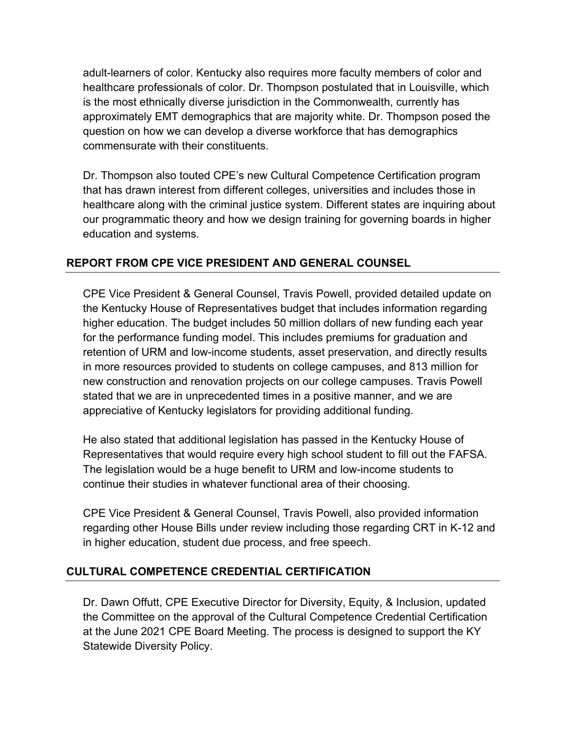adult-learners of color. Kentucky also requires more faculty members of color and healthcare professionals of color. Dr. Thompson postulated that in Louisville, which is the most ethnically diverse jurisdiction in the Commonwealth, currently has approximately EMT demographics that are majority white. Dr. Thompson posed the question on how we can develop a diverse workforce that has demographics commensurate with their constituents.

Dr. Thompson also touted CPE's new Cultural Competence Certification program that has drawn interest from different colleges, universities and includes those in healthcare along with the criminal justice system. Different states are inquiring about our programmatic theory and how we design training for governing boards in higher education and systems.

# **REPORT FROM CPE VICE PRESIDENT AND GENERAL COUNSEL**

CPE Vice President & General Counsel, Travis Powell, provided detailed update on the Kentucky House of Representatives budget that includes information regarding higher education. The budget includes 50 million dollars of new funding each year for the performance funding model. This includes premiums for graduation and retention of URM and low-income students, asset preservation, and directly results in more resources provided to students on college campuses, and 813 million for new construction and renovation projects on our college campuses. Travis Powell stated that we are in unprecedented times in a positive manner, and we are appreciative of Kentucky legislators for providing additional funding.

He also stated that additional legislation has passed in the Kentucky House of Representatives that would require every high school student to fill out the FAFSA. The legislation would be a huge benefit to URM and low-income students to continue their studies in whatever functional area of their choosing.

CPE Vice President & General Counsel, Travis Powell, also provided information regarding other House Bills under review including those regarding CRT in K-12 and in higher education, student due process, and free speech.

# **CULTURAL COMPETENCE CREDENTIAL CERTIFICATION**

Dr. Dawn Offutt, CPE Executive Director for Diversity, Equity, & Inclusion, updated the Committee on the approval of the Cultural Competence Credential Certification at the June 2021 CPE Board Meeting. The process is designed to support the KY Statewide Diversity Policy.